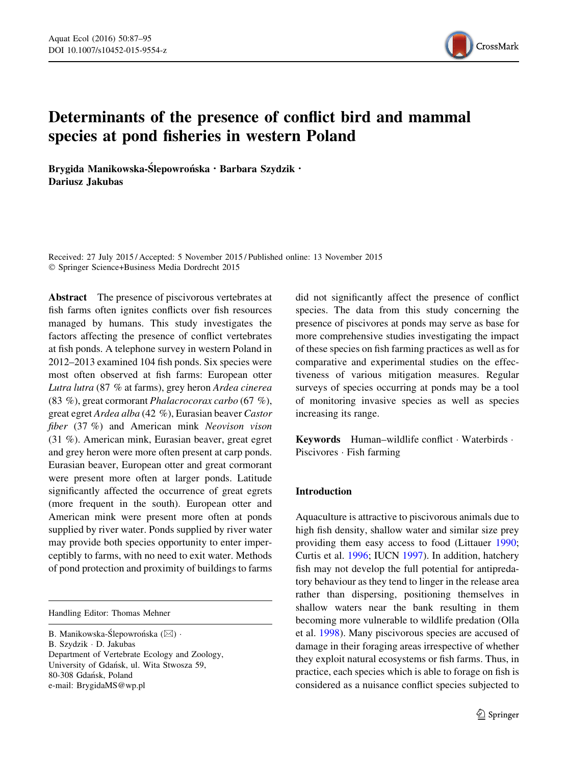

# Determinants of the presence of conflict bird and mammal species at pond fisheries in western Poland

Brygida Manikowska-Ślepowrońska · Barbara Szydzik · Dariusz Jakubas

Received: 27 July 2015 / Accepted: 5 November 2015 / Published online: 13 November 2015 - Springer Science+Business Media Dordrecht 2015

Abstract The presence of piscivorous vertebrates at fish farms often ignites conflicts over fish resources managed by humans. This study investigates the factors affecting the presence of conflict vertebrates at fish ponds. A telephone survey in western Poland in 2012–2013 examined 104 fish ponds. Six species were most often observed at fish farms: European otter Lutra lutra (87 % at farms), grey heron Ardea cinerea (83 %), great cormorant Phalacrocorax carbo (67 %), great egret Ardea alba (42 %), Eurasian beaver Castor fiber (37 %) and American mink Neovison vison (31 %). American mink, Eurasian beaver, great egret and grey heron were more often present at carp ponds. Eurasian beaver, European otter and great cormorant were present more often at larger ponds. Latitude significantly affected the occurrence of great egrets (more frequent in the south). European otter and American mink were present more often at ponds supplied by river water. Ponds supplied by river water may provide both species opportunity to enter imperceptibly to farms, with no need to exit water. Methods of pond protection and proximity of buildings to farms

Handling Editor: Thomas Mehner

B. Szydzik - D. Jakubas

Department of Vertebrate Ecology and Zoology, University of Gdańsk, ul. Wita Stwosza 59, 80-308 Gdan´sk, Poland e-mail: BrygidaMS@wp.pl

did not significantly affect the presence of conflict species. The data from this study concerning the presence of piscivores at ponds may serve as base for more comprehensive studies investigating the impact of these species on fish farming practices as well as for comparative and experimental studies on the effectiveness of various mitigation measures. Regular surveys of species occurring at ponds may be a tool of monitoring invasive species as well as species increasing its range.

Keywords Human–wildlife conflict - Waterbirds - Piscivores - Fish farming

## Introduction

Aquaculture is attractive to piscivorous animals due to high fish density, shallow water and similar size prey providing them easy access to food (Littauer [1990](#page-8-0); Curtis et al. [1996;](#page-7-0) IUCN [1997\)](#page-8-0). In addition, hatchery fish may not develop the full potential for antipredatory behaviour as they tend to linger in the release area rather than dispersing, positioning themselves in shallow waters near the bank resulting in them becoming more vulnerable to wildlife predation (Olla et al. [1998](#page-8-0)). Many piscivorous species are accused of damage in their foraging areas irrespective of whether they exploit natural ecosystems or fish farms. Thus, in practice, each species which is able to forage on fish is considered as a nuisance conflict species subjected to

B. Manikowska-Ślepowrońska ( $\boxtimes$ ) -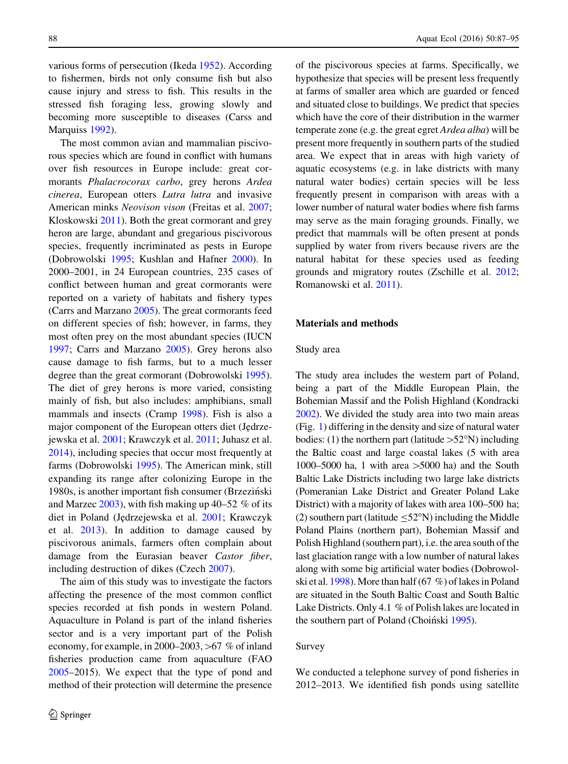various forms of persecution (Ikeda [1952\)](#page-8-0). According to fishermen, birds not only consume fish but also cause injury and stress to fish. This results in the stressed fish foraging less, growing slowly and becoming more susceptible to diseases (Carss and Marquiss [1992\)](#page-7-0).

The most common avian and mammalian piscivorous species which are found in conflict with humans over fish resources in Europe include: great cormorants Phalacrocorax carbo, grey herons Ardea cinerea, European otters Lutra lutra and invasive American minks Neovison vison (Freitas et al. [2007](#page-7-0); Kloskowski [2011\)](#page-8-0). Both the great cormorant and grey heron are large, abundant and gregarious piscivorous species, frequently incriminated as pests in Europe (Dobrowolski [1995;](#page-7-0) Kushlan and Hafner [2000](#page-8-0)). In 2000–2001, in 24 European countries, 235 cases of conflict between human and great cormorants were reported on a variety of habitats and fishery types (Carrs and Marzano [2005\)](#page-7-0). The great cormorants feed on different species of fish; however, in farms, they most often prey on the most abundant species (IUCN [1997;](#page-8-0) Carrs and Marzano [2005\)](#page-7-0). Grey herons also cause damage to fish farms, but to a much lesser degree than the great cormorant (Dobrowolski [1995](#page-7-0)). The diet of grey herons is more varied, consisting mainly of fish, but also includes: amphibians, small mammals and insects (Cramp [1998\)](#page-7-0). Fish is also a major component of the European otters diet (Jędrzejewska et al. [2001;](#page-8-0) Krawczyk et al. [2011;](#page-8-0) Juhasz et al. [2014\)](#page-8-0), including species that occur most frequently at farms (Dobrowolski [1995\)](#page-7-0). The American mink, still expanding its range after colonizing Europe in the 1980s, is another important fish consumer (Brzeziński and Marzec  $2003$ ), with fish making up 40–52 % of its diet in Poland (Jędrzejewska et al. [2001](#page-8-0); Krawczyk et al. [2013\)](#page-8-0). In addition to damage caused by piscivorous animals, farmers often complain about damage from the Eurasian beaver Castor fiber, including destruction of dikes (Czech [2007\)](#page-7-0).

The aim of this study was to investigate the factors affecting the presence of the most common conflict species recorded at fish ponds in western Poland. Aquaculture in Poland is part of the inland fisheries sector and is a very important part of the Polish economy, for example, in 2000–2003,  $>67$  % of inland fisheries production came from aquaculture (FAO [2005–](#page-7-0)2015). We expect that the type of pond and method of their protection will determine the presence

of the piscivorous species at farms. Specifically, we hypothesize that species will be present less frequently at farms of smaller area which are guarded or fenced and situated close to buildings. We predict that species which have the core of their distribution in the warmer temperate zone (e.g. the great egret Ardea alba) will be present more frequently in southern parts of the studied area. We expect that in areas with high variety of aquatic ecosystems (e.g. in lake districts with many natural water bodies) certain species will be less frequently present in comparison with areas with a lower number of natural water bodies where fish farms may serve as the main foraging grounds. Finally, we predict that mammals will be often present at ponds supplied by water from rivers because rivers are the natural habitat for these species used as feeding grounds and migratory routes (Zschille et al. [2012](#page-8-0); Romanowski et al. [2011](#page-8-0)).

## Materials and methods

## Study area

The study area includes the western part of Poland, being a part of the Middle European Plain, the Bohemian Massif and the Polish Highland (Kondracki [2002](#page-8-0)). We divided the study area into two main areas (Fig. [1\)](#page-2-0) differing in the density and size of natural water bodies: (1) the northern part (latitude  $>52^{\circ}$ N) including the Baltic coast and large coastal lakes (5 with area 1000–5000 ha, 1 with area  $>$ 5000 ha) and the South Baltic Lake Districts including two large lake districts (Pomeranian Lake District and Greater Poland Lake District) with a majority of lakes with area 100–500 ha; (2) southern part (latitude  $\leq$ 52°N) including the Middle Poland Plains (northern part), Bohemian Massif and Polish Highland (southern part), i.e. the area south of the last glaciation range with a low number of natural lakes along with some big artificial water bodies (Dobrowolski et al. [1998](#page-7-0)). More than half (67 %) of lakes in Poland are situated in the South Baltic Coast and South Baltic Lake Districts. Only 4.1 % of Polish lakes are located in the southern part of Poland (Choiński [1995\)](#page-7-0).

## Survey

We conducted a telephone survey of pond fisheries in 2012–2013. We identified fish ponds using satellite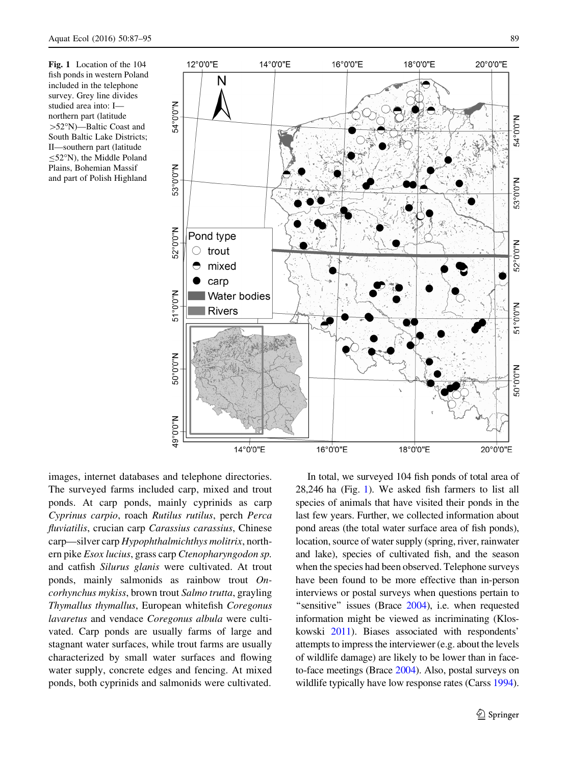<span id="page-2-0"></span>Fig. 1 Location of the 104 fish ponds in western Poland included in the telephone survey. Grey line divides studied area into: I northern part (latitude  $>52^\circ$ N)—Baltic Coast and South Baltic Lake Districts; II—southern part (latitude  $\leq$ 52°N), the Middle Poland Plains, Bohemian Massif and part of Polish Highland

54°0'0"N

53°0'0"N

52°0'0"N

51°0'0"N

**N.0.0.05** 

N.0.0.0

14°0'0"E



16°0'0"E

images, internet databases and telephone directories. The surveyed farms included carp, mixed and trout ponds. At carp ponds, mainly cyprinids as carp Cyprinus carpio, roach Rutilus rutilus, perch Perca fluviatilis, crucian carp Carassius carassius, Chinese carp—silver carp Hypophthalmichthys molitrix, northern pike Esox lucius, grass carp Ctenopharyngodon sp. and catfish Silurus glanis were cultivated. At trout ponds, mainly salmonids as rainbow trout Oncorhynchus mykiss, brown trout Salmo trutta, grayling Thymallus thymallus, European whitefish Coregonus lavaretus and vendace Coregonus albula were cultivated. Carp ponds are usually farms of large and stagnant water surfaces, while trout farms are usually characterized by small water surfaces and flowing water supply, concrete edges and fencing. At mixed ponds, both cyprinids and salmonids were cultivated.

In total, we surveyed 104 fish ponds of total area of 28,246 ha (Fig. 1). We asked fish farmers to list all species of animals that have visited their ponds in the last few years. Further, we collected information about pond areas (the total water surface area of fish ponds), location, source of water supply (spring, river, rainwater and lake), species of cultivated fish, and the season when the species had been observed. Telephone surveys have been found to be more effective than in-person interviews or postal surveys when questions pertain to "sensitive" issues (Brace [2004](#page-7-0)), i.e. when requested information might be viewed as incriminating (Kloskowski [2011](#page-8-0)). Biases associated with respondents' attempts to impress the interviewer (e.g. about the levels of wildlife damage) are likely to be lower than in faceto-face meetings (Brace [2004\)](#page-7-0). Also, postal surveys on wildlife typically have low response rates (Carss [1994\)](#page-7-0).

18°0'0"E

20°0'0"E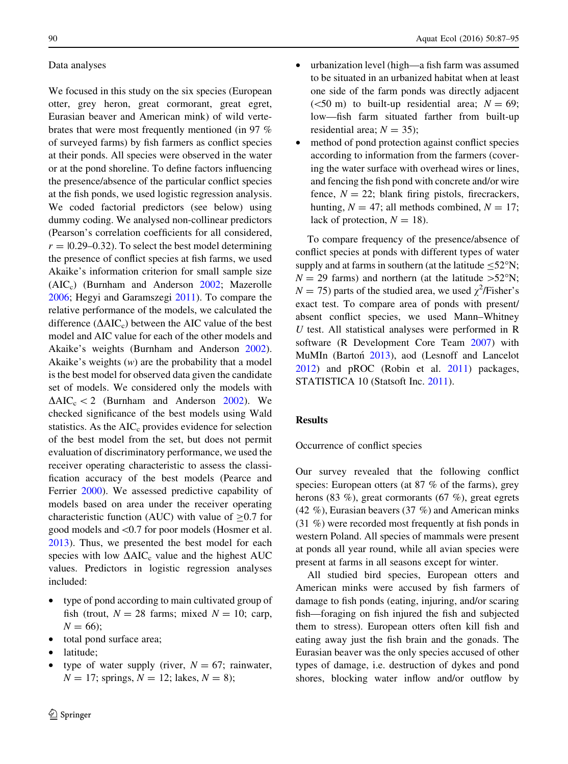# Data analyses

We focused in this study on the six species (European otter, grey heron, great cormorant, great egret, Eurasian beaver and American mink) of wild vertebrates that were most frequently mentioned (in 97 % of surveyed farms) by fish farmers as conflict species at their ponds. All species were observed in the water or at the pond shoreline. To define factors influencing the presence/absence of the particular conflict species at the fish ponds, we used logistic regression analysis. We coded factorial predictors (see below) using dummy coding. We analysed non-collinear predictors (Pearson's correlation coefficients for all considered,  $r = 0.29{\text -}0.32$ . To select the best model determining the presence of conflict species at fish farms, we used Akaike's information criterion for small sample size (AIC<sub>c</sub>) (Burnham and Anderson [2002;](#page-7-0) Mazerolle [2006;](#page-8-0) Hegyi and Garamszegi [2011\)](#page-8-0). To compare the relative performance of the models, we calculated the difference  $(AAIC_c)$  between the AIC value of the best model and AIC value for each of the other models and Akaike's weights (Burnham and Anderson [2002](#page-7-0)). Akaike's weights  $(w)$  are the probability that a model is the best model for observed data given the candidate set of models. We considered only the models with  $\Delta AIC_c < 2$  (Burnham and Anderson [2002](#page-7-0)). We checked significance of the best models using Wald statistics. As the  $AIC<sub>c</sub>$  provides evidence for selection of the best model from the set, but does not permit evaluation of discriminatory performance, we used the receiver operating characteristic to assess the classification accuracy of the best models (Pearce and Ferrier [2000](#page-8-0)). We assessed predictive capability of models based on area under the receiver operating characteristic function (AUC) with value of  $\geq 0.7$  for good models and\0.7 for poor models (Hosmer et al. [2013\)](#page-8-0). Thus, we presented the best model for each species with low  $\Delta AIC_c$  value and the highest AUC values. Predictors in logistic regression analyses included:

- type of pond according to main cultivated group of fish (trout,  $N = 28$  farms; mixed  $N = 10$ ; carp,  $N = 66$ ;
- total pond surface area;
- latitude;
- type of water supply (river,  $N = 67$ ; rainwater,  $N = 17$ ; springs,  $N = 12$ ; lakes,  $N = 8$ );
- urbanization level (high—a fish farm was assumed to be situated in an urbanized habitat when at least one side of the farm ponds was directly adjacent ( $\leq$ 50 m) to built-up residential area;  $N = 69$ ; low—fish farm situated farther from built-up residential area;  $N = 35$ ;
- method of pond protection against conflict species according to information from the farmers (covering the water surface with overhead wires or lines, and fencing the fish pond with concrete and/or wire fence,  $N = 22$ ; blank firing pistols, firecrackers, hunting,  $N = 47$ ; all methods combined,  $N = 17$ ; lack of protection,  $N = 18$ ).

To compare frequency of the presence/absence of conflict species at ponds with different types of water supply and at farms in southern (at the latitude  $\leq$ 52°N;  $N = 29$  farms) and northern (at the latitude  $>52^{\circ}$ N;  $N = 75$ ) parts of the studied area, we used  $\chi^2$ /Fisher's exact test. To compare area of ponds with present/ absent conflict species, we used Mann–Whitney U test. All statistical analyses were performed in R software (R Development Core Team [2007\)](#page-7-0) with MuMIn (Barton<sup>[2013](#page-7-0)</sup>), aod (Lesnoff and Lancelot [2012\)](#page-8-0) and pROC (Robin et al. [2011](#page-8-0)) packages, STATISTICA 10 (Statsoft Inc. [2011](#page-8-0)).

# Results

#### Occurrence of conflict species

Our survey revealed that the following conflict species: European otters (at 87 % of the farms), grey herons (83 %), great cormorants (67 %), great egrets (42 %), Eurasian beavers (37 %) and American minks (31 %) were recorded most frequently at fish ponds in western Poland. All species of mammals were present at ponds all year round, while all avian species were present at farms in all seasons except for winter.

All studied bird species, European otters and American minks were accused by fish farmers of damage to fish ponds (eating, injuring, and/or scaring fish—foraging on fish injured the fish and subjected them to stress). European otters often kill fish and eating away just the fish brain and the gonads. The Eurasian beaver was the only species accused of other types of damage, i.e. destruction of dykes and pond shores, blocking water inflow and/or outflow by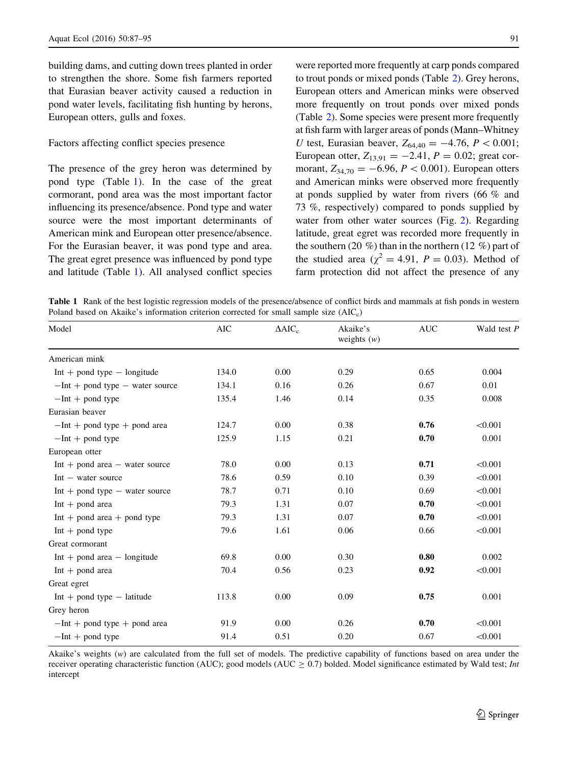building dams, and cutting down trees planted in order to strengthen the shore. Some fish farmers reported that Eurasian beaver activity caused a reduction in pond water levels, facilitating fish hunting by herons, European otters, gulls and foxes.

## Factors affecting conflict species presence

The presence of the grey heron was determined by pond type (Table 1). In the case of the great cormorant, pond area was the most important factor influencing its presence/absence. Pond type and water source were the most important determinants of American mink and European otter presence/absence. For the Eurasian beaver, it was pond type and area. The great egret presence was influenced by pond type and latitude (Table 1). All analysed conflict species were reported more frequently at carp ponds compared to trout ponds or mixed ponds (Table [2\)](#page-5-0). Grey herons, European otters and American minks were observed more frequently on trout ponds over mixed ponds (Table [2](#page-5-0)). Some species were present more frequently at fish farm with larger areas of ponds (Mann–Whitney U test, Eurasian beaver,  $Z_{64,40} = -4.76$ ,  $P < 0.001$ ; European otter,  $Z_{13,91} = -2.41$ ,  $P = 0.02$ ; great cormorant,  $Z_{34,70} = -6.96, P < 0.001$ . European otters and American minks were observed more frequently at ponds supplied by water from rivers (66 % and 73 %, respectively) compared to ponds supplied by water from other water sources (Fig. [2](#page-5-0)). Regarding latitude, great egret was recorded more frequently in the southern (20 %) than in the northern (12 %) part of the studied area ( $\chi^2 = 4.91$ ,  $P = 0.03$ ). Method of farm protection did not affect the presence of any

Table 1 Rank of the best logistic regression models of the presence/absence of conflict birds and mammals at fish ponds in western Poland based on Akaike's information criterion corrected for small sample size  $(AIC<sub>c</sub>)$ 

| Model                               | <b>AIC</b> | $\triangle AIC_c$ | Akaike's<br>weights $(w)$ | <b>AUC</b> | Wald test P |
|-------------------------------------|------------|-------------------|---------------------------|------------|-------------|
| American mink                       |            |                   |                           |            |             |
| $Int +$ pond type $-$ longitude     | 134.0      | 0.00              | 0.29                      | 0.65       | 0.004       |
| $-Int +$ pond type $-$ water source | 134.1      | 0.16              | 0.26                      | 0.67       | 0.01        |
| $-Int +$ pond type                  | 135.4      | 1.46              | 0.14                      | 0.35       | 0.008       |
| Eurasian beaver                     |            |                   |                           |            |             |
| $-Int +$ pond type $+$ pond area    | 124.7      | 0.00              | 0.38                      | 0.76       | < 0.001     |
| $-Int +$ pond type                  | 125.9      | 1.15              | 0.21                      | 0.70       | 0.001       |
| European otter                      |            |                   |                           |            |             |
| $Int + pond area - water source$    | 78.0       | 0.00              | 0.13                      | 0.71       | < 0.001     |
| $Int - water source$                | 78.6       | 0.59              | 0.10                      | 0.39       | < 0.001     |
| $Int +$ pond type $-$ water source  | 78.7       | 0.71              | 0.10                      | 0.69       | < 0.001     |
| $Int + pond area$                   | 79.3       | 1.31              | 0.07                      | 0.70       | < 0.001     |
| $Int + pond area + pond type$       | 79.3       | 1.31              | 0.07                      | 0.70       | < 0.001     |
| $Int + pond$ type                   | 79.6       | 1.61              | 0.06                      | 0.66       | < 0.001     |
| Great cormorant                     |            |                   |                           |            |             |
| $Int + pond area - longitude$       | 69.8       | 0.00              | 0.30                      | 0.80       | 0.002       |
| $Int + pond area$                   | 70.4       | 0.56              | 0.23                      | 0.92       | < 0.001     |
| Great egret                         |            |                   |                           |            |             |
| $Int +$ pond type $-$ latitude      | 113.8      | 0.00              | 0.09                      | 0.75       | 0.001       |
| Grey heron                          |            |                   |                           |            |             |
| $-Int +$ pond type $+$ pond area    | 91.9       | 0.00              | 0.26                      | 0.70       | < 0.001     |
| $-Int +$ pond type                  | 91.4       | 0.51              | 0.20                      | 0.67       | < 0.001     |

Akaike's weights (w) are calculated from the full set of models. The predictive capability of functions based on area under the receiver operating characteristic function (AUC); good models (AUC  $\geq 0.7$ ) bolded. Model significance estimated by Wald test; *Int* intercept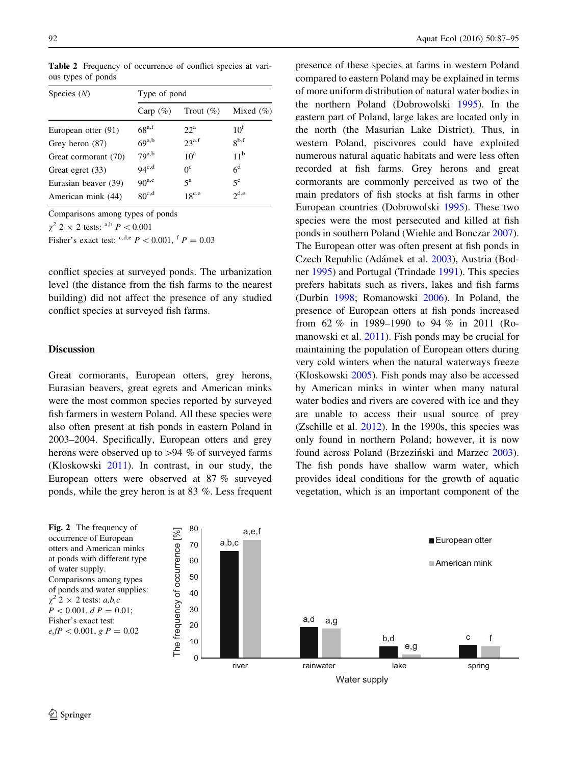| Species $(N)$        | Type of pond        |                   |                 |  |  |
|----------------------|---------------------|-------------------|-----------------|--|--|
|                      | Carp $(\%)$         | Trout $(\%)$      | Mixed $(\% )$   |  |  |
| European otter (91)  | $68^{\mathrm{a,f}}$ | $22^a$            | 10 <sup>f</sup> |  |  |
| Grey heron (87)      | $69^{a,b}$          | $23^{a,f}$        | $8^{b,f}$       |  |  |
| Great cormorant (70) | $79^{a,b}$          | 10 <sup>a</sup>   | 11 <sup>b</sup> |  |  |
| Great egret (33)     | $94^{\mathrm{c,d}}$ | $0^{\circ}$       | 6 <sup>d</sup>  |  |  |
| Eurasian beaver (39) | $90^{a,c}$          | $5^{\rm a}$       | $5^{\rm c}$     |  |  |
| American mink (44)   | $80^{\text{c,d}}$   | $18^{\text{c,e}}$ | $2^{d,e}$       |  |  |

<span id="page-5-0"></span>Table 2 Frequency of occurrence of conflict species at various types of ponds

Comparisons among types of ponds

 $\chi^2$  2 × 2 tests: <sup>a,b</sup> *P* < 0.001

Fisher's exact test:  $c,d,e$ ,  $P < 0.001$ ,  $f$ ,  $P = 0.03$ 

conflict species at surveyed ponds. The urbanization level (the distance from the fish farms to the nearest building) did not affect the presence of any studied conflict species at surveyed fish farms.

## **Discussion**

Great cormorants, European otters, grey herons, Eurasian beavers, great egrets and American minks were the most common species reported by surveyed fish farmers in western Poland. All these species were also often present at fish ponds in eastern Poland in 2003–2004. Specifically, European otters and grey herons were observed up to  $>94$  % of surveyed farms (Kloskowski [2011](#page-8-0)). In contrast, in our study, the European otters were observed at 87 % surveyed ponds, while the grey heron is at 83 %. Less frequent presence of these species at farms in western Poland compared to eastern Poland may be explained in terms of more uniform distribution of natural water bodies in the northern Poland (Dobrowolski [1995\)](#page-7-0). In the eastern part of Poland, large lakes are located only in the north (the Masurian Lake District). Thus, in western Poland, piscivores could have exploited numerous natural aquatic habitats and were less often recorded at fish farms. Grey herons and great cormorants are commonly perceived as two of the main predators of fish stocks at fish farms in other European countries (Dobrowolski [1995](#page-7-0)). These two species were the most persecuted and killed at fish ponds in southern Poland (Wiehle and Bonczar [2007](#page-8-0)). The European otter was often present at fish ponds in Czech Republic (Adámek et al. [2003\)](#page-7-0), Austria (Bodner [1995](#page-7-0)) and Portugal (Trindade [1991](#page-8-0)). This species prefers habitats such as rivers, lakes and fish farms (Durbin [1998;](#page-7-0) Romanowski [2006\)](#page-8-0). In Poland, the presence of European otters at fish ponds increased from 62 % in 1989–1990 to 94 % in 2011 (Romanowski et al. [2011](#page-8-0)). Fish ponds may be crucial for maintaining the population of European otters during very cold winters when the natural waterways freeze (Kloskowski [2005\)](#page-8-0). Fish ponds may also be accessed by American minks in winter when many natural water bodies and rivers are covered with ice and they are unable to access their usual source of prey (Zschille et al. [2012\)](#page-8-0). In the 1990s, this species was only found in northern Poland; however, it is now found across Poland (Brzeziński and Marzec [2003](#page-7-0)). The fish ponds have shallow warm water, which provides ideal conditions for the growth of aquatic vegetation, which is an important component of the

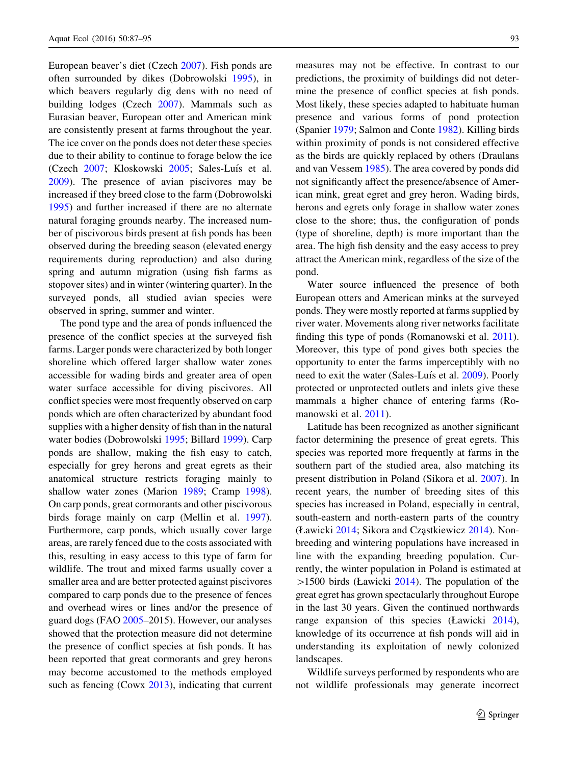European beaver's diet (Czech [2007](#page-7-0)). Fish ponds are often surrounded by dikes (Dobrowolski [1995\)](#page-7-0), in which beavers regularly dig dens with no need of building lodges (Czech [2007](#page-7-0)). Mammals such as Eurasian beaver, European otter and American mink are consistently present at farms throughout the year. The ice cover on the ponds does not deter these species due to their ability to continue to forage below the ice (Czech [2007;](#page-7-0) Kloskowski [2005;](#page-8-0) Sales-Luís et al. [2009\)](#page-8-0). The presence of avian piscivores may be increased if they breed close to the farm (Dobrowolski [1995\)](#page-7-0) and further increased if there are no alternate natural foraging grounds nearby. The increased number of piscivorous birds present at fish ponds has been observed during the breeding season (elevated energy requirements during reproduction) and also during spring and autumn migration (using fish farms as stopover sites) and in winter (wintering quarter). In the surveyed ponds, all studied avian species were observed in spring, summer and winter.

The pond type and the area of ponds influenced the presence of the conflict species at the surveyed fish farms. Larger ponds were characterized by both longer shoreline which offered larger shallow water zones accessible for wading birds and greater area of open water surface accessible for diving piscivores. All conflict species were most frequently observed on carp ponds which are often characterized by abundant food supplies with a higher density of fish than in the natural water bodies (Dobrowolski [1995](#page-7-0); Billard [1999](#page-7-0)). Carp ponds are shallow, making the fish easy to catch, especially for grey herons and great egrets as their anatomical structure restricts foraging mainly to shallow water zones (Marion [1989](#page-8-0); Cramp [1998](#page-7-0)). On carp ponds, great cormorants and other piscivorous birds forage mainly on carp (Mellin et al. [1997](#page-8-0)). Furthermore, carp ponds, which usually cover large areas, are rarely fenced due to the costs associated with this, resulting in easy access to this type of farm for wildlife. The trout and mixed farms usually cover a smaller area and are better protected against piscivores compared to carp ponds due to the presence of fences and overhead wires or lines and/or the presence of guard dogs (FAO [2005](#page-7-0)–2015). However, our analyses showed that the protection measure did not determine the presence of conflict species at fish ponds. It has been reported that great cormorants and grey herons may become accustomed to the methods employed such as fencing (Cowx  $2013$ ), indicating that current

measures may not be effective. In contrast to our predictions, the proximity of buildings did not determine the presence of conflict species at fish ponds. Most likely, these species adapted to habituate human presence and various forms of pond protection (Spanier [1979](#page-8-0); Salmon and Conte [1982\)](#page-8-0). Killing birds within proximity of ponds is not considered effective as the birds are quickly replaced by others (Draulans and van Vessem [1985\)](#page-7-0). The area covered by ponds did not significantly affect the presence/absence of American mink, great egret and grey heron. Wading birds, herons and egrets only forage in shallow water zones close to the shore; thus, the configuration of ponds (type of shoreline, depth) is more important than the area. The high fish density and the easy access to prey attract the American mink, regardless of the size of the pond.

Water source influenced the presence of both European otters and American minks at the surveyed ponds. They were mostly reported at farms supplied by river water. Movements along river networks facilitate finding this type of ponds (Romanowski et al. [2011](#page-8-0)). Moreover, this type of pond gives both species the opportunity to enter the farms imperceptibly with no need to exit the water (Sales-Luís et al. [2009](#page-8-0)). Poorly protected or unprotected outlets and inlets give these mammals a higher chance of entering farms (Romanowski et al. [2011](#page-8-0)).

Latitude has been recognized as another significant factor determining the presence of great egrets. This species was reported more frequently at farms in the southern part of the studied area, also matching its present distribution in Poland (Sikora et al. [2007](#page-8-0)). In recent years, the number of breeding sites of this species has increased in Poland, especially in central, south-eastern and north-eastern parts of the country (Ławicki [2014;](#page-8-0) Sikora and Czastkiewicz [2014](#page-8-0)). Nonbreeding and wintering populations have increased in line with the expanding breeding population. Currently, the winter population in Poland is estimated at  $>1500$  birds (Ławicki [2014](#page-8-0)). The population of the great egret has grown spectacularly throughout Europe in the last 30 years. Given the continued northwards range expansion of this species (Ławicki [2014](#page-8-0)), knowledge of its occurrence at fish ponds will aid in understanding its exploitation of newly colonized landscapes.

Wildlife surveys performed by respondents who are not wildlife professionals may generate incorrect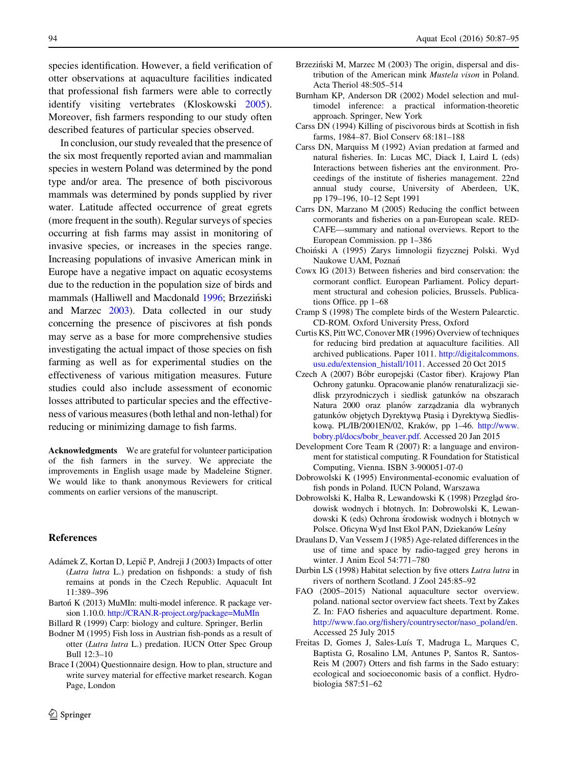<span id="page-7-0"></span>species identification. However, a field verification of otter observations at aquaculture facilities indicated that professional fish farmers were able to correctly identify visiting vertebrates (Kloskowski [2005](#page-8-0)). Moreover, fish farmers responding to our study often described features of particular species observed.

In conclusion, our study revealed that the presence of the six most frequently reported avian and mammalian species in western Poland was determined by the pond type and/or area. The presence of both piscivorous mammals was determined by ponds supplied by river water. Latitude affected occurrence of great egrets (more frequent in the south). Regular surveys of species occurring at fish farms may assist in monitoring of invasive species, or increases in the species range. Increasing populations of invasive American mink in Europe have a negative impact on aquatic ecosystems due to the reduction in the population size of birds and mammals (Halliwell and Macdonald [1996;](#page-8-0) Brzeziński and Marzec 2003). Data collected in our study concerning the presence of piscivores at fish ponds may serve as a base for more comprehensive studies investigating the actual impact of those species on fish farming as well as for experimental studies on the effectiveness of various mitigation measures. Future studies could also include assessment of economic losses attributed to particular species and the effectiveness of various measures (both lethal and non-lethal) for reducing or minimizing damage to fish farms.

Acknowledgments We are grateful for volunteer participation of the fish farmers in the survey. We appreciate the improvements in English usage made by Madeleine Stigner. We would like to thank anonymous Reviewers for critical comments on earlier versions of the manuscript.

#### References

- Adámek Z, Kortan D, Lepič P, Andreji J (2003) Impacts of otter (Lutra lutra L.) predation on fishponds: a study of fish remains at ponds in the Czech Republic. Aquacult Int 11:389–396
- Barton´ K (2013) MuMIn: multi-model inference. R package version 1.10.0. [http://CRAN.R-project.org/package=MuMIn](http://CRAN.R-project.org/package%3dMuMIn)

Billard R (1999) Carp: biology and culture. Springer, Berlin

- Bodner M (1995) Fish loss in Austrian fish-ponds as a result of otter (Lutra lutra L.) predation. IUCN Otter Spec Group Bull 12:3–10
- Brace I (2004) Questionnaire design. How to plan, structure and write survey material for effective market research. Kogan Page, London
- Brzeziński M, Marzec M (2003) The origin, dispersal and distribution of the American mink Mustela vison in Poland. Acta Theriol 48:505–514
- Burnham KP, Anderson DR (2002) Model selection and multimodel inference: a practical information-theoretic approach. Springer, New York
- Carss DN (1994) Killing of piscivorous birds at Scottish in fish farms, 1984–87. Biol Conserv 68:181–188
- Carss DN, Marquiss M (1992) Avian predation at farmed and natural fisheries. In: Lucas MC, Diack I, Laird L (eds) Interactions between fisheries ant the environment. Proceedings of the institute of fisheries management. 22nd annual study course, University of Aberdeen, UK, pp 179–196, 10–12 Sept 1991
- Carrs DN, Marzano M (2005) Reducing the conflict between cormorants and fisheries on a pan-European scale. RED-CAFE—summary and national overviews. Report to the European Commission. pp 1–386
- Choin´ski A (1995) Zarys limnologii fizycznej Polski. Wyd Naukowe UAM, Poznan´
- Cowx IG (2013) Between fisheries and bird conservation: the cormorant conflict. European Parliament. Policy department structural and cohesion policies, Brussels. Publications Office. pp 1–68
- Cramp S (1998) The complete birds of the Western Palearctic. CD-ROM. Oxford University Press, Oxford
- Curtis KS, Pitt WC, Conover MR (1996) Overview of techniques for reducing bird predation at aquaculture facilities. All archived publications. Paper 1011. [http://digitalcommons.](http://digitalcommons.usu.edu/extension_histall/1011) [usu.edu/extension\\_histall/1011](http://digitalcommons.usu.edu/extension_histall/1011). Accessed 20 Oct 2015
- Czech A (2007) Bóbr europejski (Castor fiber). Krajowy Plan Ochrony gatunku. Opracowanie planów renaturalizacji siedlisk przyrodniczych i siedlisk gatunków na obszarach Natura 2000 oraz planów zarządzania dla wybranych gatunków objętych Dyrektywą Ptasią i Dyrektywą Siedliskową. PL/IB/2001EN/02, Kraków, pp 1-46. [http://www.](http://www.bobry.pl/docs/bobr_beaver.pdf) [bobry.pl/docs/bobr\\_beaver.pdf](http://www.bobry.pl/docs/bobr_beaver.pdf). Accessed 20 Jan 2015
- Development Core Team R (2007) R: a language and environment for statistical computing. R Foundation for Statistical Computing, Vienna. ISBN 3-900051-07-0
- Dobrowolski K (1995) Environmental-economic evaluation of fish ponds in Poland. IUCN Poland, Warszawa
- Dobrowolski K, Halba R, Lewandowski K (1998) Przegląd środowisk wodnych i błotnych. In: Dobrowolski K, Lewandowski K (eds) Ochrona środowisk wodnych i błotnych w Polsce. Oficyna Wyd Inst Ekol PAN, Dziekanów Leśny
- Draulans D, Van Vessem J (1985) Age-related differences in the use of time and space by radio-tagged grey herons in winter. J Anim Ecol 54:771–780
- Durbin LS (1998) Habitat selection by five otters Lutra lutra in rivers of northern Scotland. J Zool 245:85–92
- FAO (2005–2015) National aquaculture sector overview. poland. national sector overview fact sheets. Text by Zakes Z. In: FAO fisheries and aquaculture department. Rome. [http://www.fao.org/fishery/countrysector/naso\\_poland/en.](http://www.fao.org/fishery/countrysector/naso_poland/en) Accessed 25 July 2015
- Freitas D, Gomes J, Sales-Luís T, Madruga L, Marques C, Baptista G, Rosalino LM, Antunes P, Santos R, Santos-Reis M (2007) Otters and fish farms in the Sado estuary: ecological and socioeconomic basis of a conflict. Hydrobiologia 587:51–62